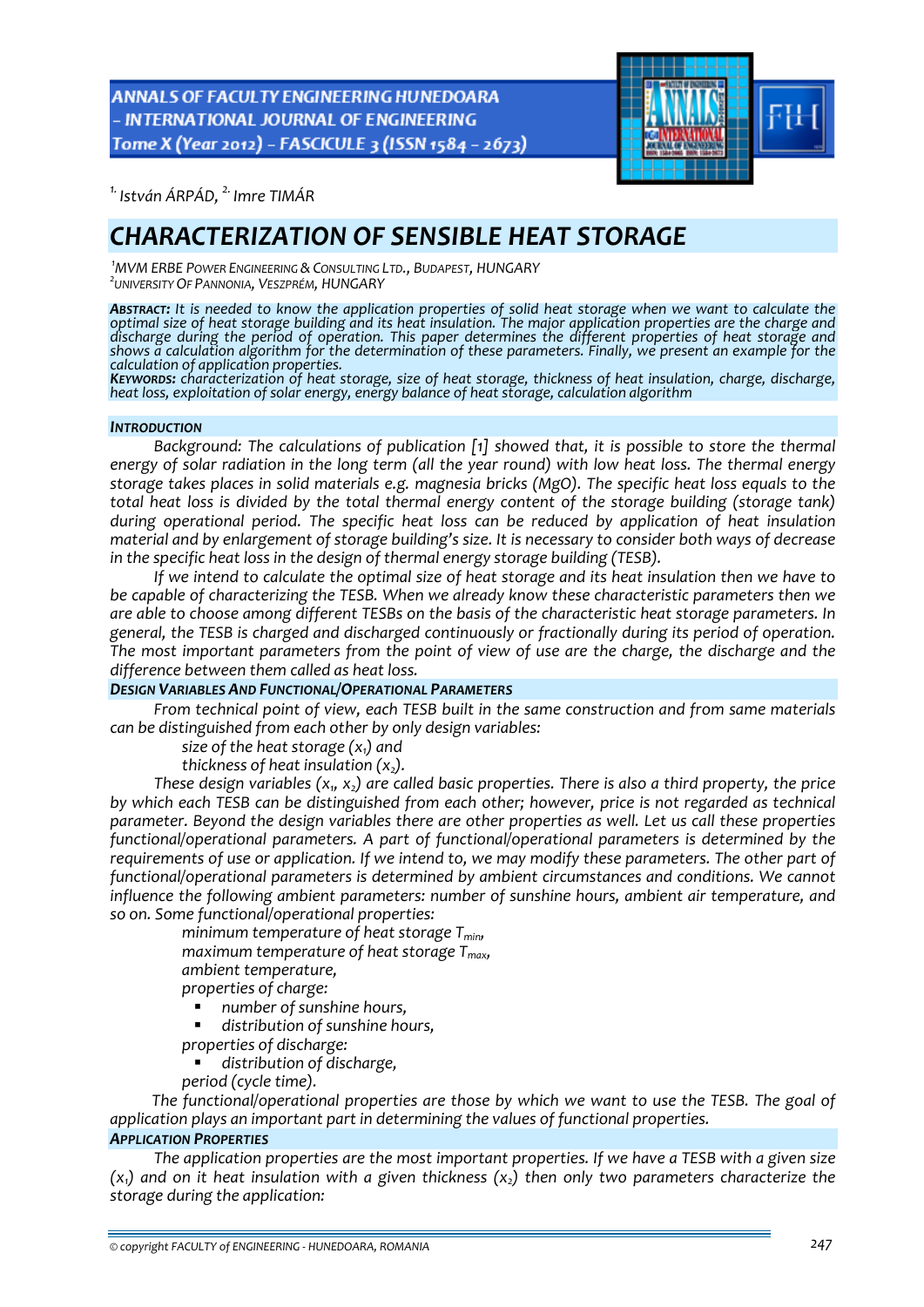**ANNALS OF FACULTY ENGINEERING HUNEDOARA** - INTERNATIONAL JOURNAL OF ENGINEERING Tome X (Year 2012) - FASCICULE 3 (ISSN 1584 - 2673)



*1. István ÁRPÁD, 2. Imre TIMÁR* 

# *CHARACTERIZATION OF SENSIBLE HEAT STORAGE*

*1 MVM ERBE POWER ENGINEERING &CONSULTING LTD., BUDAPEST, HUNGARY <sup>2</sup> UNIVERSITY OF PANNONIA, VESZPRÉM, HUNGARY*

**ABSTRACT:** It is needed to know the application properties of solid heat storage when we want to calculate the optimal size of heat storage building and its heat insulation. The major application properties are the charge and *discharge during the period of operation. This paper determines the different properties of heat storage and* shows a calculation algorithm for the determination of these parameters. Finally, we present an example for the<br>calculation of application properties.

KEYWORDS: characterization of heat storage, size of heat storage, thickness of heat insulation, charge, discharge, heat loss, exploitation of solar energy, energy balance of heat storage, calculation algorithm

#### *INTRODUCTION*

*Background: The calculations of publication [1] showed that, it is possible to store the thermal* energy of solar radiation in the long term (all the year round) with low heat loss. The thermal energy *storage takes places in solid materials e.g. magnesia bricks (MgO). The specific heat loss equals to the total heat loss is divided by the total thermal energy content of the storage building (storage tank) during operational period. The specific heat loss can be reduced by application of heat insulation material and by enlargement of storage building's size. It is necessary to consider both ways of decrease in the specific heat loss in the design of thermal energy storage building (TESB).*

If we intend to calculate the optimal size of heat storage and its heat insulation then we have to *be capable of characterizing the TESB. When we already know these characteristic parameters then we are able to choose among different TESBs on the basis of the characteristic heat storage parameters. In general, the TESB is charged and discharged continuously or fractionally during its period of operation. The most important parameters from the point of view of use are the charge, the discharge and the difference between them called as heat loss.*

### *DESIGN VARIABLES AND FUNCTIONAL/OPERATIONAL PARAMETERS*

*From technical point of view, each TESB built in the same construction and from same materials can be distinguished from each other by only design variables:*

*size* of the heat *storage*  $(x_1)$  *and* 

*thickness of heat insulation*  $(x_2)$ *.* 

*These design variables (x1, x2) are called basic properties. There is also a third property, the price by which each TESB can be distinguished from each other; however, price is not regarded as technical parameter. Beyond the design variables there are other properties as well. Let us call these properties functional/operational parameters. A part of functional/operational parameters is determined by the* requirements of use or application. If we intend to, we may modify these parameters. The other part of *functional/operational parameters is determined by ambient circumstances and conditions. We cannot influence the following ambient parameters: number of sunshine hours, ambient air temperature, and so on. Some functional/operational properties:*

 *minimum temperature of heat storage Tmin, maximum temperature of heat storage Tmax, ambient temperature, properties of charge:*

 *number of sunshine hours, distribution of sunshine hours,*

*properties of discharge:*

*distribution of discharge,*

*period (cycle time).*

*The functional/operational properties are those by which we want to use the TESB. The goal of application plays an important part in determining the values of functional properties.*

### *APPLICATION PROPERTIES*

*The application properties are the most important properties. If we have a TESB with a given size*  $(x_1)$  and on it heat insulation with a given thickness  $(x_2)$  then only two parameters characterize the *storage during the application:*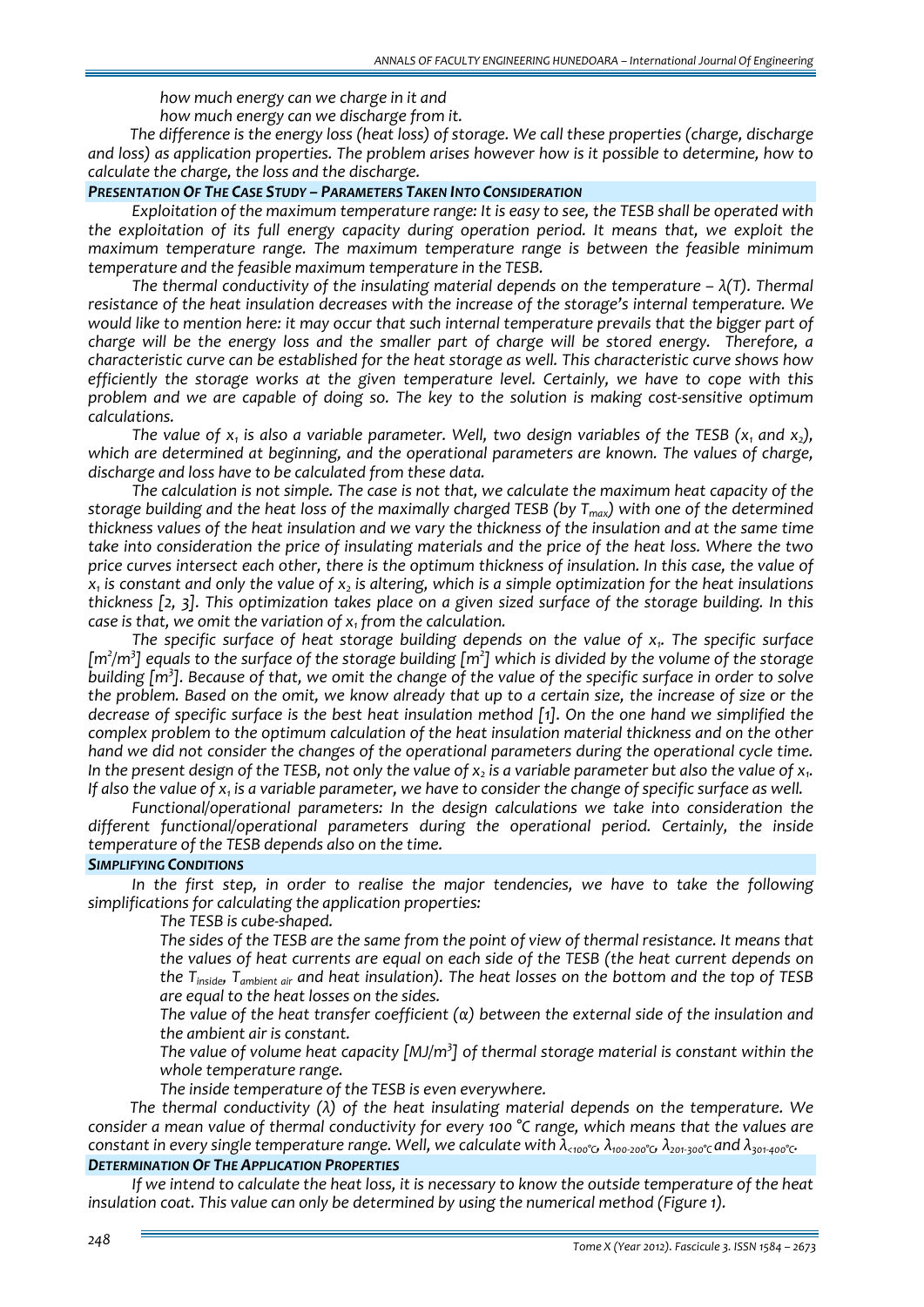*how much energy can we charge in it and how much energy can we discharge from it.*

*The difference is the energy loss (heat loss) of storage. We call these properties (charge, discharge and loss) as application properties. The problem arises however how is it possible to determine, how to calculate the charge, the loss and the discharge.*

#### *PRESENTATION OF THE CASE STUDY – PARAMETERS TAKEN INTO CONSIDERATION*

*Exploitation of the maximum temperature range: It is easy to see, the TESB shall be operated with the exploitation of its full energy capacity during operation period. It means that, we exploit the maximum temperature range. The maximum temperature range is between the feasible minimum temperature and the feasible maximum temperature in the TESB.*

*The thermal conductivity of the insulating material depends on the temperature – λ(T). Thermal resistance of the heat insulation decreases with the increase of the storage's internal temperature. We* would like to mention here: it may occur that such internal temperature prevails that the bigger part of charge will be the energy loss and the smaller part of charge will be stored energy. Therefore, a *characteristic curve can be established for the heat storage as well. This characteristic curve shows how efficiently the storage works at the given temperature level. Certainly, we have to cope with this* problem and we are capable of doing so. The key to the solution is making cost-sensitive optimum *calculations.*

The value of  $x_i$  is also a variable parameter. Well, two design variables of the TESB  $(x_i$  and  $x_i)$ . *which are determined at beginning, and the operational parameters are known. The values of charge, discharge and loss have to be calculated from these data.* 

*The calculation is not simple. The case is not that, we calculate the maximum heat capacity of the* storage building and the heat loss of the maximally charged TESB (by  $T_{max}$ ) with one of the determined thickness values of the heat insulation and we vary the thickness of the insulation and at the same time take into consideration the price of insulating materials and the price of the heat loss. Where the two price curves intersect each other, there is the optimum thickness of insulation. In this case, the value of  $x<sub>1</sub>$  is constant and only the value of x, is altering, which is a simple optimization for the heat insulations thickness [2, 3]. This optimization takes place on a given sized surface of the storage building. In this *case is that, we omit the variation of x1 from the calculation.* 

*The specific surface of heat storage building depends on the value of x1. The specific surface*  $\rm [m^2/m^3]$  equals to the surface of the storage building  $\rm [m^2]$  which is divided by the volume of the storage building [m<sup>3</sup>]. Because of that, we omit the change of the value of the specific surface in order to solve the problem. Based on the omit, we know already that up to a certain size, the increase of size or the decrease of specific surface is the best heat insulation method  $\lceil 1 \rceil$ . On the one hand we simplified the *complex problem to the optimum calculation of the heat insulation material thickness and on the other hand we did not consider the changes of the operational parameters during the operational cycle time.*  In the present design of the TESB, not only the value of  $x_2$  is a variable parameter but also the value of  $x_1$ . If also the value of  $x_1$  is a variable parameter, we have to consider the change of specific surface as well.

*Functional/operational parameters: In the design calculations we take into consideration the different functional/operational parameters during the operational period. Certainly, the inside temperature of the TESB depends also on the time.*

### *SIMPLIFYING CONDITIONS*

*In the first step, in order to realise the major tendencies, we have to take the following simplifications for calculating the application properties:*

*The TESB is cube‐shaped.*

The sides of the TESB are the same from the point of view of thermal resistance. It means that *the values of heat currents are equal on each side of the TESB (the heat current depends on the Tinside, Tambient air and heat insulation). The heat losses on the bottom and the top of TESB are equal to the heat losses on the sides.*

 *The value of the heat transfer coefficient (α) between the external side of the insulation and the ambient air is constant.* 

 *The value of volume heat capacity [MJ/m<sup>3</sup> ] of thermal storage material is constant within the whole temperature range.*

*The inside temperature of the TESB is even everywhere.*

*The thermal conductivity (λ) of the heat insulating material depends on the temperature. We* consider a mean value of thermal conductivity for every 100  $\degree$ C range, which means that the values are constant in every single temperature range. Well, we calculate with  $\lambda_{000}$ °  $\lambda_{100\cdot200}$ °  $\lambda_{201\cdot300}$ ° and  $\lambda_{301\cdot400}$ ° c. *DETERMINATION OF THE APPLICATION PROPERTIES*

If we intend to calculate the heat loss, it is necessary to know the outside temperature of the heat *insulation coat. This value can only be determined by using the numerical method (Figure 1).*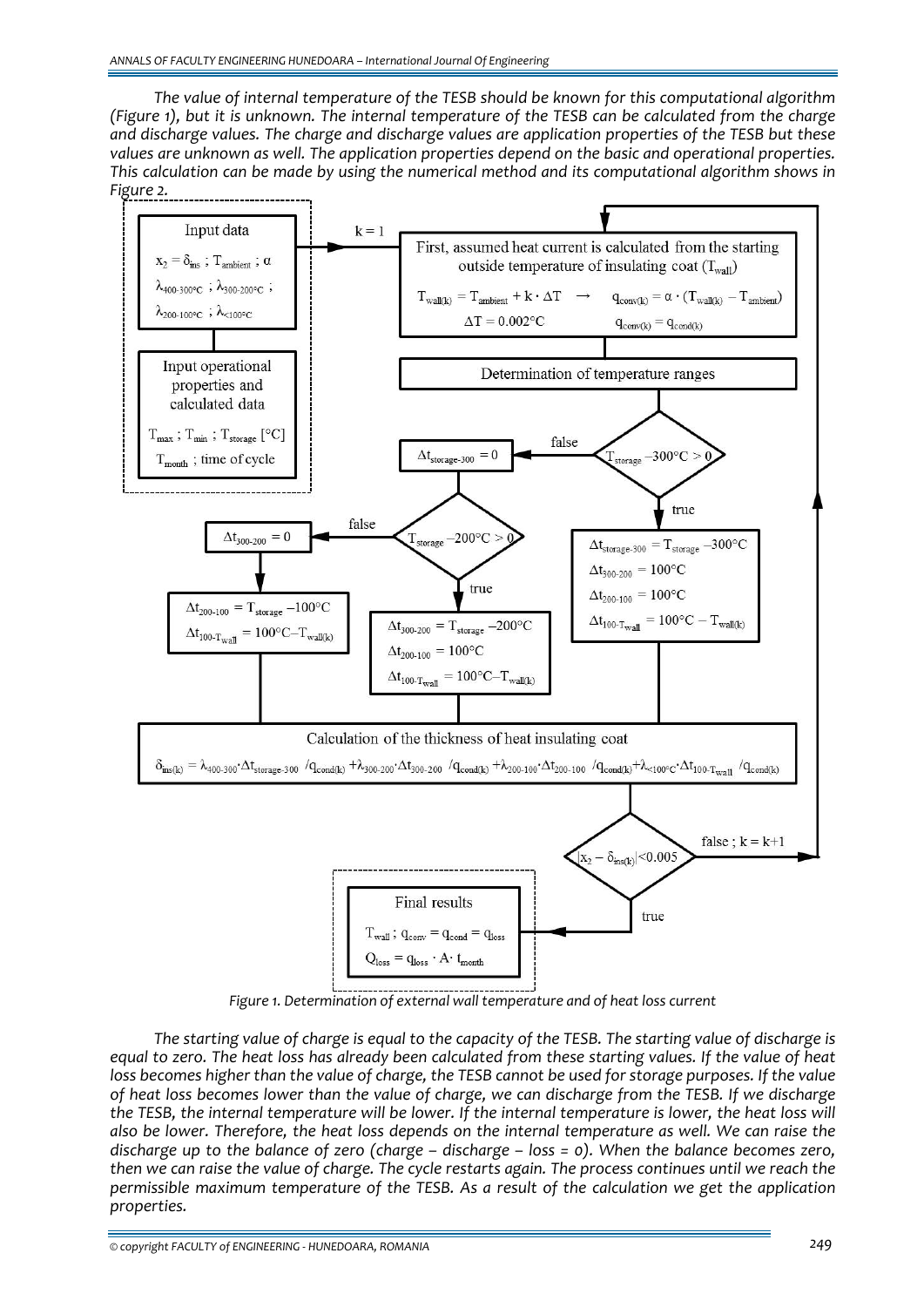*The value of internal temperature of the TESB should be known for this computational algorithm* (Figure 1), but it is unknown. The internal temperature of the TESB can be calculated from the charge *and discharge values. The charge and discharge values are application properties of the TESB but these values are unknown as well. The application properties depend on the basic and operational properties. This calculation can be made by using the numerical method and its computational algorithm shows in Figure 2.*



*Figure 1. Determination of external wall temperature and of heat loss current*

The starting value of charge is equal to the capacity of the TESB. The starting value of discharge is equal to zero. The heat loss has already been calculated from these starting values. If the value of heat loss becomes higher than the value of charge, the TESB cannot be used for storage purposes. If the value of heat loss becomes lower than the value of charge, we can discharge from the TESB. If we discharge the TESB, the internal temperature will be lower. If the internal temperature is lower, the heat loss will also be lower. Therefore, the heat loss depends on the internal temperature as well. We can raise the discharge up to the balance of zero (charge  $-$  discharge  $-$  loss  $=$  0). When the balance becomes zero, then we can raise the value of charge. The cycle restarts again. The process continues until we reach the *permissible maximum temperature of the TESB. As a result of the calculation we get the application properties.*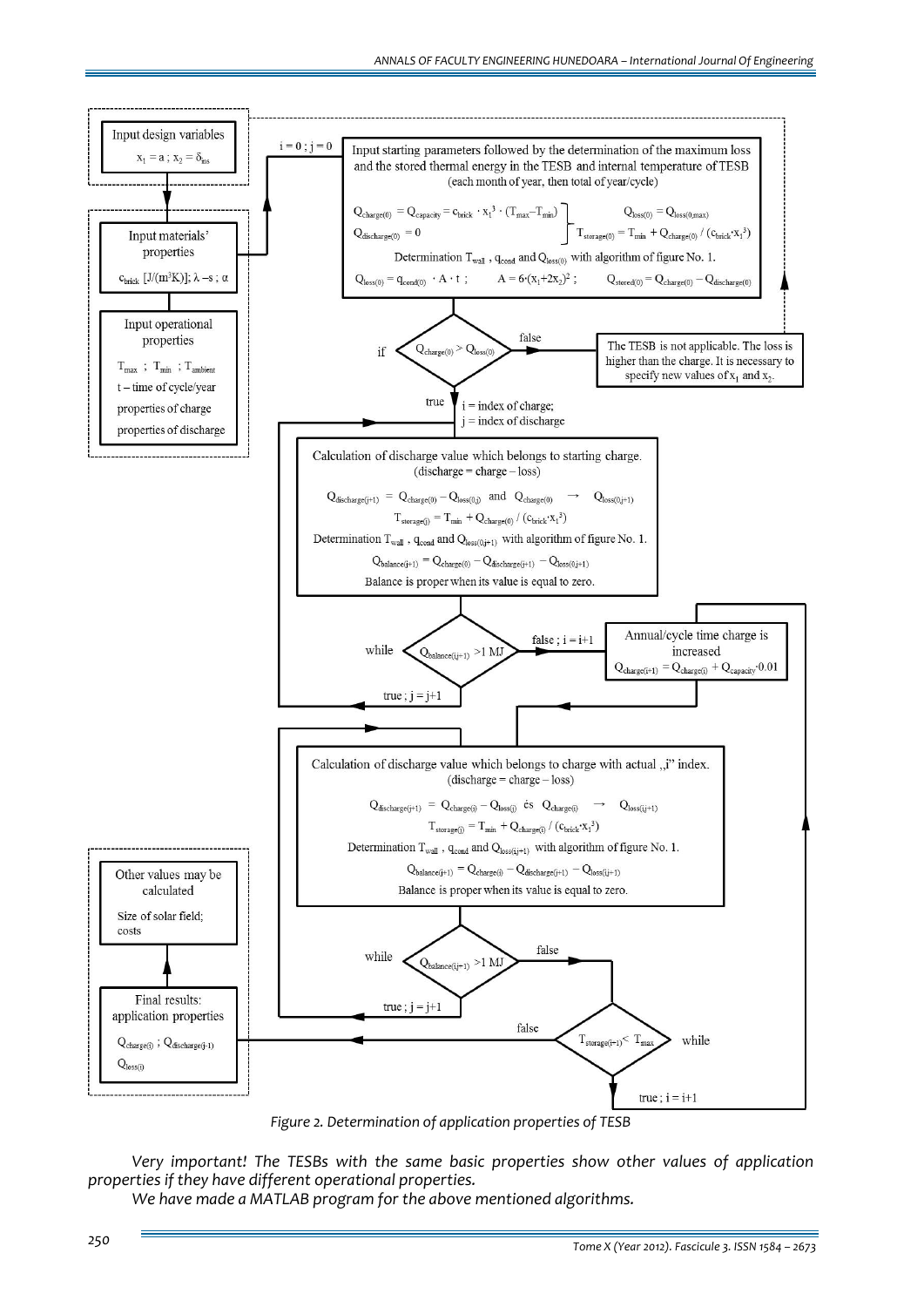

*Figure 2. Determination of application properties of TESB*

*Very important! The TESBs with the same basic properties show other values of application properties if they have different operational properties.*

*We have made a MATLAB program for the above mentioned algorithms.*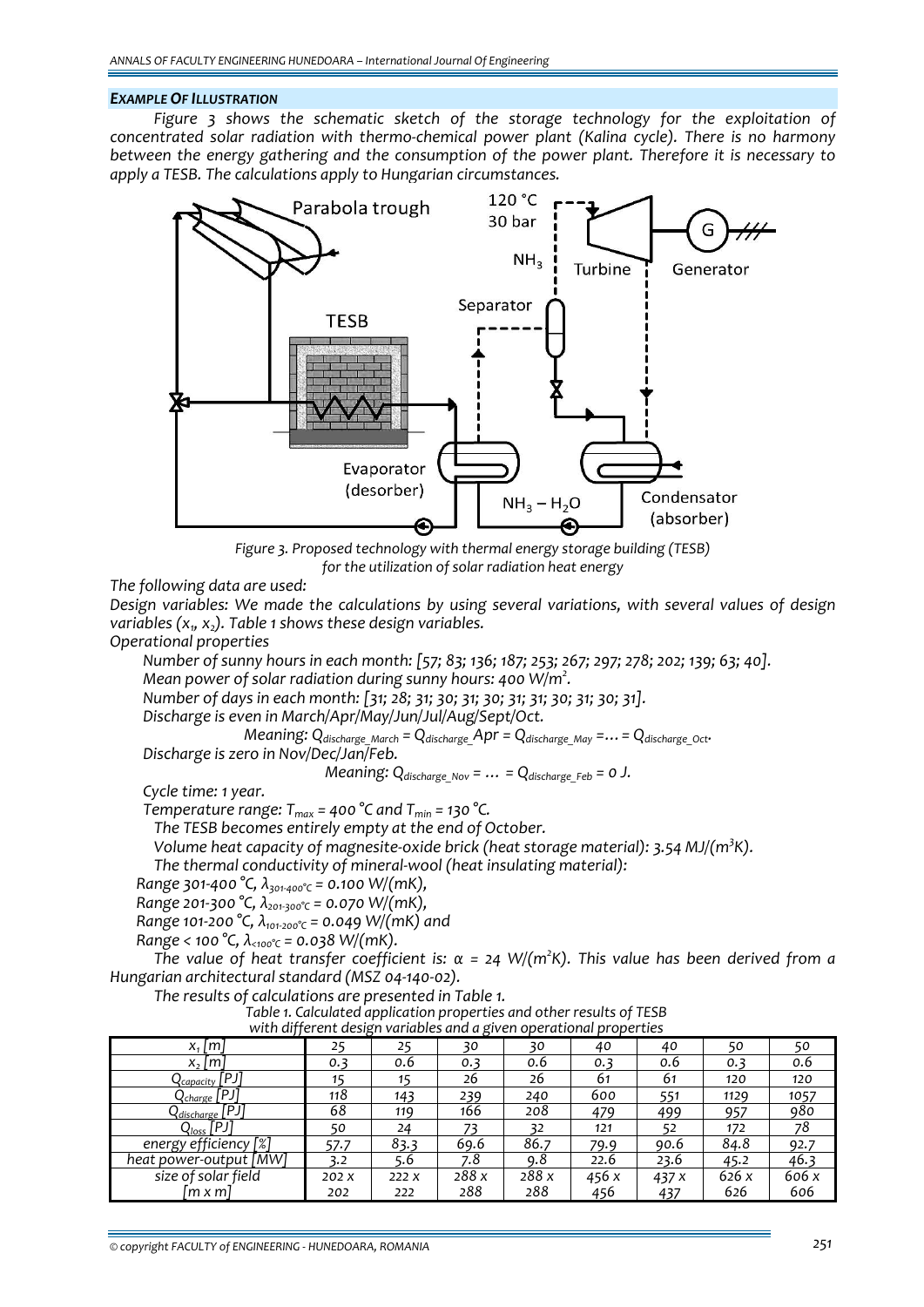#### *EXAMPLE OF ILLUSTRATION*

*Figure 3 shows the schematic sketch of the storage technology for the exploitation of concentrated solar radiation with thermo‐chemical power plant (Kalina cycle). There is no harmony between the energy gathering and the consumption of the power plant. Therefore it is necessary to apply a TESB. The calculations apply to Hungarian circumstances.*



*Figure 3. Proposed technology with thermal energy storage building (TESB) for the utilization of solar radiation heat energy* 

*The following data are used:*

*Design variables: We made the calculations by using several variations, with several values of design variables (x1, x2). Table 1 shows these design variables.*

*Operational properties*

Number of sunny hours in each month: [57; 83; 136; 187; 253; 267; 297; 278; 202; 139; 63; 40]. *Mean power of solar radiation during sunny hours: 400 W/m<sup>2</sup> .*

*Number of days in each month: [31; 28; 31; 30; 31; 30; 31; 31; 30; 31; 30; 31].*

*Discharge is even in March/Apr/May/Jun/Jul/Aug/Sept/Oct.*

*Meaning:*  $Q_{discharge\; March} = Q_{discharge\; Apr} = Q_{discharge\; May} = \ldots = Q_{discharge\; Oct}$ .

*Discharge is zero in Nov/Dec/Jan/Feb.*

*Meaning:*  $Q_{discharge\ Nov} = ... = Q_{discharge\ Feb} = 0$  *J.* 

*Cycle time: 1 year.* 

*Temperature range:*  $T_{max}$  = 400 °C and  $T_{min}$  = 130 °C.

*The TESB becomes entirely empty at the end of October.*

*Volume heat capacity of magnesite‐oxide brick (heat storage material): 3.54 MJ/(m<sup>3</sup> K).*

*The thermal conductivity of mineral‐wool (heat insulating material):*

*Range 301‐400 °C, λ301‐400°C = 0.100 W/(mK),*

*Range 201‐300 °C, λ201‐300°C = 0.070 W/(mK),*

*Range 101‐200 °C, λ101‐200°C = 0.049 W/(mK) and*

*Range < 100 °C, λ<100°C = 0.038 W/(mK).*

The value of heat transfer coefficient is:  $\alpha$  = 24 W/(m<sup>2</sup>K). This value has been derived from a *Hungarian architectural standard (MSZ 04‐140‐02).*

*The results of calculations are presented in Table 1.*

Fable 1. Calculated application properties and other results of TESB<br>with different design variables and a given operational properties

| <u>WILIT UITTEI EITE UESIGIT VUITUDIES UITU U GIVEIT OPEI ULIOITUI PI OPEI LIES</u> |       |      |       |       |       |       |      |       |
|-------------------------------------------------------------------------------------|-------|------|-------|-------|-------|-------|------|-------|
| $x_1$   m                                                                           | 25    | 25   | 30    | 30    | 40    | 40    | 50   | 50    |
| $x_2 \,  m $                                                                        | 0.3   | 0.6  | 0.3   | 0.6   | 0.3   | 0.6   | 0.3  | 0.6   |
| $\Omega_{\rm capacity}$ [PJ]                                                        | 15    | 15   | 26    | 26    | 61    | 61    | 120  | 120   |
| [PJ<br>{charge [                                                                    | 118   | 143  | 239   | 240   | 600   | 551   | 1129 | 1057  |
| $Q_{discharge}$ [PJ]                                                                | 68    | 119  | 166   | 208   | 479   | 499   | 957  | 980   |
| $Q_{loss}$ [PJ]                                                                     | 50    | 24   |       | 32    | 121   |       | 172  | 78    |
| energy efficiency [%]                                                               | 57.7  | 83.3 | 69.6  | 86.7  | 79.9  | 90.6  | 84.8 | 92.7  |
| heat power-output [MW]                                                              | 3.2   | 5.6  | 7.8   | 9.8   | 22.6  | 23.6  | 45.2 | 46.3  |
| size of solar field                                                                 | 202 X | 222X | 288 x | 288 x | 456 x | 437 x | 626x | 606 x |
| lm x ml                                                                             | 202   | 222  | 288   | 288   | 456   | 437   | 626  | 606   |